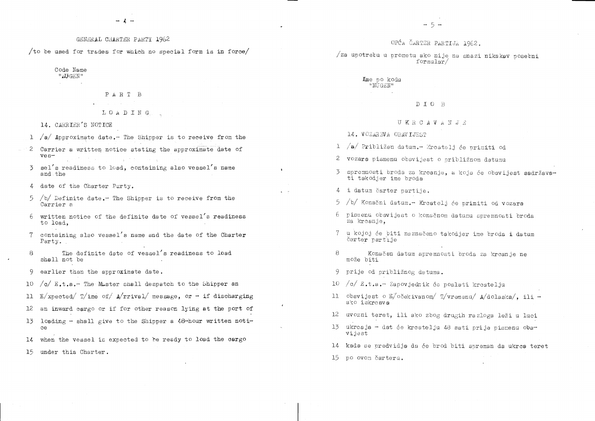# GENERAL CHARTER PARTY 1962

/to be used for trades for which no special form is in force/

Code Name "NUGEN"

PART B

# $L O A D I N G$

14. CARRIER'S NOTICE

- 1 /a/ Approximate date. The Shipper is to receive from the
- 2 Carrier a written notice stating the approximate date of  $ves-$
- sel's readiness to load, containing also vessel's name  $\mathcal{Z}$ and the
- date of the Charter Party.  $\downarrow$
- $5\overline{)}$  $/b/$  Definite date. The Shipper is to receive from the Carrier a
- $6 \overline{6}$ written notice of the definite date of vessel's readiness to load.
- 7 containing also vessel's name and the date of the Charter  $Party.$
- The definite date of vessel's readiness to load  $\beta$ shall not be
- earlier than the approximate date. 9
- $\sqrt{c}/E_{\bullet}t_{\bullet}a_{\bullet}$  The Master shall despatch to the Shipper and  $10$
- $E/$ xpected/  $T/$ ime of/ A/rrival/ message, or if discharging  $11$
- $12$ an inward cargo or if for other reason lying at the port of
- loading shall give to the Shipper a  $48$ -hour written noti-13 ce
- $14$ when the vessel is expected to be ready to load the cargo
- $15<sub>1</sub>$ under this Charter.

OPĆA ČARTER PARTIJA 1962.

/za upotretu u prometu ako nije na snazi nikakav posebni formular $/$ 

> Ime po kodu "NÜGEN"

> > $D$   $I$   $O$   $B$

UKRCAVANJE

14. VOZAREVA OBAVIJEST

1 /a/ Približan datum.- Kroatelj će primiti od 2 vozara pismenu obavijest o približnom datumu 3 spremnosti broda za krcanje, a koja će obavijest sadržava-

ti takodjer ime broda

4 i datum čarter partije.

 $\mathbf{L}^{\text{max}}$ 

- 5 /b/ Konačni datum.- Kreatelj će primiti od vozara
- 6 pismenu obavijest o konsčnom datumu spremnosti broda za krcanje.
- 7 u kojoj će biti naznačeno takodjer ime broda i datum čarter partije
- $\beta$ Konačen datum spremnosti broda za krcanje ne može biti

9 prije od približnog datuma.

10 /c/ E.t.a.- Zapovjednik će poslati krcatelju 11 obavijest o  $E/\circ$ čekivanom/ T/vremenu/ A/dolaska/, ili -

ako iskrcava

- 12 uvozni teret, ili ako zbog drugih razloga leži u luci
- 13 ukrcaja dat će krcatelju 48 sati prije pismenu obavijest
- 14 kada se predvidja da će brod biti spreman da ukrca teret
- 15 po ovom čarteru.

 $-5-$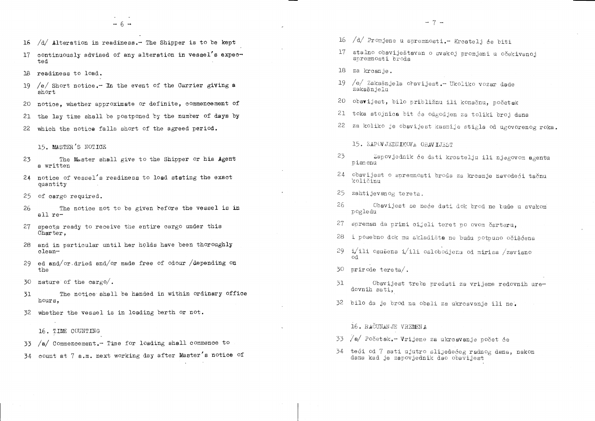- 16  $/d/$  Alteration in readiness. The Shipper is to be kept
- continuously advised of any alteration in vessel's expec-17 ted
- 18 readiness to load.
- $/e/$  Short notice. In the event of the Carrier giving a -19short
- 20 notice. whether approximate or definite, commencement of

the lay time shall be postponed by the number of days by 21 22 which the notice falls short of the agreed period.

15. MASTER'S NOTICE

- The Master shall give to the Shipper or his Agent 23 a written
- 24 notice of vessel's readiness to load stating the exact quantity
- 25 of cargo required.
- 26 The notice not to be given before the vessel is in all re-
- 27 spects ready to receive the entire cargo under this Charter.
- 28 and in particular until her holds have been thoroughly clean-
- 29 ed and/or dried and/or made free of odour /depending on the
- 30 nature of the cargo/.
- The notice shall be handed in within ordinary office 31 hours.
- whether the vessel is in loading berth or not. 32

16. TIME COUNTING

- $/a$  Commencement. Time for loading shall commence to 33
- 34 count at 7 a.m. next working day after Master's notice of
- 16 /d/ Promjene u spremnosti.- Kroatelj će biti
- 17 stalno obaviještavan o svakoj promjeni u očekivanoj spremnosti broda
- 18 za krcanje.
- 19 /e/ Zakašnjela ohavijest. Ukoliko vozar dade zakašnjelu
- 20 obavijest, bilo približnu ili konačnu, početak
- 21 toka stojnica bit će odgodjen za toliki broj dana
- - 15. ZAPOVJEDNIKOVA OBAVIJEST
- 23 pismenu
- 24 obavijest o spremnosti broda za krcanje navodeći tačnu količinu
- 25 zahtijevanog tereta.
- 26 pogledu
- 27 spreman da primi cijeli teret po ovom čarteru,
- 28 i posebno dok mu skladišta ne budu potpuno očišćena
- $i$ ili osušena i/ili oslobodjena od mirisa /zavisno -29 od
- $30$  prirede tereta/.
- -31 dovnih sati.
- 32 bilo da je brod na obali za ukroavanje ili ne.
	- 16. RAČUNANJE VREMENA
- 33 /a/ Početak.- Vrijeme za ukrcavanje počet će
- 34 teći od 7 sati ujutro slijedećeg radnog dana, nakon dana kad je zapovjednik dao obavijest

22 za koliko je obavijest kasnije stigla od ugovorenog roka. Zapovjednik će dati krcatelju ili njegovom agentu

Obavijest se neće dati dok brod ne bude u svakom

Obavijest treba predati za vrijeme redovnih ure-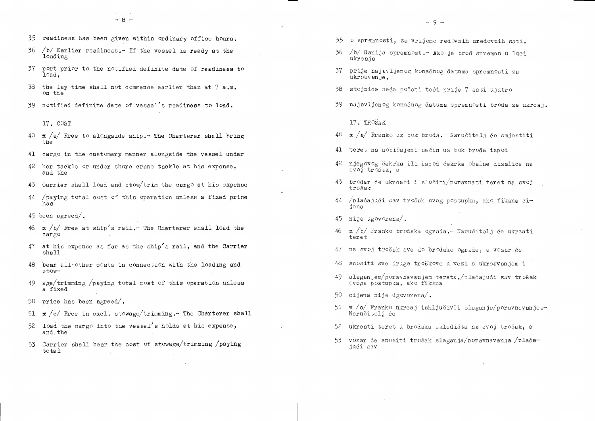- 35 readiness has been given within ordinary office hours.
- 36  $/b/$  Earlier readiness.- If the vessel is ready at the loading
- 37 port prior to the notified definite date of readiness to  $load.$
- 38 the lay time shall not commence earlier than at 7 a.m. on the
- 39 notified definite date of vessel's readiness to load.
	- 17. COST
- $40 \pi$  /a/ Free to alongside ship. The Charterer shall bring the
- 41 cargo in the customary manner alongside the vessel under
- 42 her tackle or under shore crane tackle at his expense, and the
- $43$  Carrier shall load and stow/trim the cargo at his expense
- 44 paying total cost of this operation unless a fixed price has
- 45 been agreed/.
- $46 \times /b/$  Free at ship's rail.- The Charterer shall load the cargo
- 47 at his expense as far as the ship's rail, and the Carrier shall
- bear all other costs in connection with the loading and 48 stow-
- 49 age/trimming /paying total cost of this operation unless a fixed
- $50<sub>o</sub>$ price has been agreed/.
- 51  $\pi$  /c/ Free in excl. stowage/trimming. The Charterer shall
- 52 load the cargo into the vessel's holds at his expense, and the
- Carrier shall bear the cost of stowage/trimming /paying 53 total
- 35 o spremnosti, za vrijeme redovnih uredovnih sati.
- 36 /b/ Ranija spremnost.- Ako je brod spreman u luci ukrcaja
- 37 prije najavljenog konačnog datuma spremnosti za ukreavanje.
- stojnice neće početi teći prije 7 sati ujutro 38
- 39 najavljenog konačnog datuma spremnosti broda za ukrcaj.

17. TROŠAK

- 40  $\pi$  /a/ Franko uz bok broda. Naručitelj će smjestiti
- 41 teret na uobičajeni način uz bok broda ispod
- 42 njegovog čekrka ili ispod čekrka obalne dizalice na svoj trošak. a
- 43 brodar će ukrcati i složiti/poravnati teret na svoj trošak
- 44 /plaćajući sav trošak ovog postupka, ako fiksna cijena
- 45 nije ugovorena $\ell$ .
- 46 x /b/ Franko brodska ograda.- Naručitelj će ukrcati  $teret$
- 47 na svoj trošak sve do brodske ograde, a vozar će
- 48 snositi sve druge troškove u vezi s ukrcavanjem i
- slaganjem $/p$ oravnavanjem tereta, $/p$ laćajući sav trošak 49 ovoga postupka, ako fiksna
- 50 cijena nije úgovorena/.
- 51  $\pi$  /c/ Franko ukrcaj isključivši slaganje/poravnavanje.-Naručitelj će
- 52 ukreati teret u brodska skladišta na svoj trošak. a
- 53 vozar će snositi trošak slaganja/poravnavanja /plaćajući sav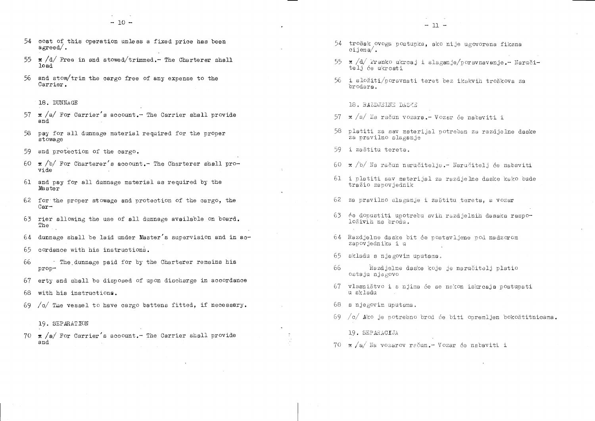- 54 cost of this operation unless a fixed price has been  $a$ *g*reed.
- 55  $\star$  /d/ Free in and stowed/trimmed. The Charterer shall load
- 56 and stow/trim the cargo free of any expense to the Carrier.
	- 18. DUNNAGE
- 57  $\pi$  /a/ For Carrier's account. The Carrier shall provide and
- 58 pay for all dunnage material required for the proper  $stowage$
- 59 and protection of the cargo.
- 60  $\pi$  /b/ For Charterer's account. The Charterer shall provide
- 61 and pay for all dunnage material as required by the Master
- 62 for the proper stowage and protection of the cargo, the  $Car-$
- 63 rier allowing the use of all dunnage available on board. The
- 64 dunnage shall be laid under Master's supervision and in ac-
- 65 cordance with his instructions.
- 66 The dunnage paid for by the Charterer remains his prop-
- erty and shall be disposed of upon discharge in accordance 67
- with his instructions. 68
- 69  $/\sigma$  The vessel to have cargo battens fitted, if necessary.
	- 19. SEPARATION
- 70  $\pi$  /a/ For Carrier's account. The Carrier shall provide and

 $-11 -$ 

- 54 trošak ovoga postupka, ako nije ugovorena fiksna  $c$ ijena $\angle$ .
- 55 x /d/ Franko ukrcaj i slaganje/poravnavanje.- Naručitelj će ukrcati
- 56 i složiti/poravnati teret bez ikakvih troškova za brodara.

### 18. RAZDJELNE DASKE

- 57  $\pi$  /a/ Na račun vozara. Vozar će nabaviti i
- 58 platiti za sav materijal potreban za razdjelne daske za pravilno slaganje
- 59 i zaštitu tereta.
- 60 x/b/ Na račun naručitelja.- Naručitelj će nabaviti
- 61 i platiti sav materijal za razdjelne daske kako bude tražio zapovjednik
- 62 za pravilno slaganje i zaštitu tereta, a vozar
- 63 će dopustiti upotrebu svih razdjelnih dasaka raspoloživih na brodu.
- 64 Razdjelne daske bit će postavljene pod nadzorom zapovjednika i u
- 65 skladu s njegovim uputama.
- Razdjelne daske koje je naručitelj platio 66 ostaju njegovo
- 67 vlasništvo i s njima će se nakon iskrcaja postupati u skladu
- $68$  s njegovim uputama.
- 69  $/c/$  Ako je potrebno brod će biti opremljen bokoštitnicama.

19. SEPARACIJA

 $70 \times/a$  Na vozarov račun. Vozar će nabaviti i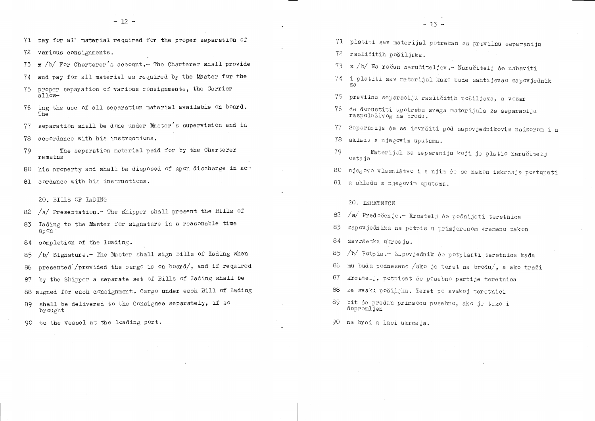71 pay for all material required for the proper separation of

various consignments. 72

 $\pi$  /b/ For Charterer's account. The Charterer shall provide 73

and pay for all material as required by the Master for the 74

- proper separation of various consignments, the Carrier 75  $a11$ ow-
- ing the use of all separation material available on board. 76 -The
- separation shall be done under Master's supervision and in 77
- accordance with his instructions. 78
- The separation material paid for by the Charterer 79 remains

his property and shall be disposed of upon discharge in ac-80 -

81 cordance with his instructions.

20. BILLS OF LADING

- $/a$  Presentation. The Shipper shall present the Bills of 82
- 83 Iading to the Master for signature in a reasonable time upon
- completion of the loading. 84

/b/ Signature.- The Master shall sign Bills of Lading when 85

- presented /provided the cargo is on board/, and if required -86
- by the Shipper a separate set of Bills of Lading shall be 87
- 88 signed for each consignment. Cargo under each Bill of Lading
- shall be delivered to the Consignee separately, if so 89. brought
- 90 to the vessel at the loading port.
- 71 platiti sav materijal potreban za pravilnu separaciju
- 72 različitih pošiljaka.
- 
- za
- 75 pravilnu separaciju različitih pošiljaka, a vozar
- 76 će dopustiti upotrebu svega materijala za separaciju raspoloživog na brodu.
- -77 -
- 78 skladu s njegovim uputama.
- 79 ostaje
- 
- 81 u skladu s njegovim uputama.

# 20. TERETNICE

- /a/ Predočenje.- Kroatelj će podnijeti teretnice 82
- 83. zapovjedniku na potpis u primjerenom vremenu nakon
- završetka ukrcaja. 84
- /b/ Potpis.- Zapovjednik će potpisati teretnice kada 85
- 86.
- 87 kroatelj, potpisat će posebno partije teretnica
- za svaku pošiljku. Teret po svakoj teretnici -88
- 89 bit će predan primaccu posebno, ako je tako i dopremljen
- 90 na brod u luci ukrcaja.

73 x /b/ Na račun naručiteljev. - Naručitelj će nabaviti 74 i platiti sav materijal kako bude zahtijevao zapovjednik Separacija će se izvršiti pod zapovjednikovim nadzorom i u Materijal za separaciju koji je platio naručitelj 80 njegovo vlasništvo i s njim će se nakon iskrcaja postupati

mu budu podnesene /ako je teret na brodu/, a ako traži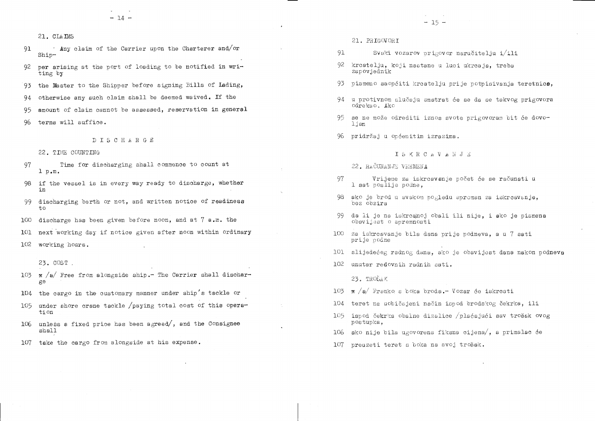$\cdot$  Any claim of the Carrier upon the Charterer and/or 91  $Shin-$ 

 $-14-$ 

- 92 per arising at the port of loading to be notified in writing by
- 93 the Master to the Shipper before signing Bills of Lading,

otherwise any such claim shall be deemed waived. If the 94

amount of claim cannot be assessed, reservation in general 95

terms will suffice. 96.

DISCHARGE

22. TIME COUNTING

- Time for discharging shall commence to count at 97  $1 p_{\bullet} m_{\bullet}$
- 98 if the vessel is in every way ready to discharge, whether in
- 99 discharging berth or not, and written notice of readiness  $\pm$ o

100 discharge has been given before noon, and at  $7$  a.m. the

next working day if notice given after noon within ordinary 101

102 working hours.

23. COST.

- 103  $\pi$  /a/ Free from alongside ship. The Carrier shall discharge
- 104 the cargo in the customary manner under ship's tackle or
- under shore crane tackle /paying total cost of this opera-105 tion
- unless a fixed price has been agreed/, and the Consignee 106 shall
- take the cargo from alongside at his expense. DO7

21. PRIGOVORI

- 91 Svaki vozarov prigovor naručitelju i/ili
- 92 krcatelju, koji nastane u luci ukrcaja, treba zapovjednik
- 93 pismeno saopćiti kreatelju prije potpisivanja teretnica,
- 94 u protivnom slučaju smatrat će se da se takvog prigovora odrekao. Ako
- 95 se ne može odrediti iznos svote prigovoram bit će dovo- $1$ jan
- 96 pridržaj u općenitim izrazima.

ISKRCAVANJE

- 22. RAČUNANJE VREMENA
- 97 1 sat poslije podne,
- 98 ako je brod u svakom pogledu spreman za iskrcavanje, bez obzira
- -99da li je na iskrcajnoj obali ili nije, i ako je pismena obavidest o spremnosti
- 100 za iskreavanje bila dana prije podneva, a u 7 sati prije podne
- 
- 102 unutar redovnih radnih sati.

23. TROŠAK

- 103  $\pi$  /a/ Franko s boka broda. Vozar će iskrcati
- 104 teret na uobičajeni način ispod brodskog čekrka, ili
- 105 ispod čekrka obalne dizalice /plaćajući sav trošak ovog postupka,
- ako nije bila ugovorena fiksna cijena $\ell$ , a primalac će -106-
- 107 preuzeti teret s boka na svoj trošak.

Vrijeme za iskrcavanje počet će se računati u

101 slijedećeg radnog dana, ako je obavijest dana nakon podneva